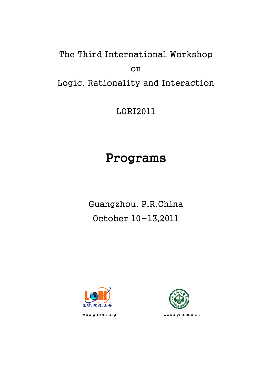# The Third International Workshop on Logic, Rationality and Interaction

LORI2011

# Programs

Guangzhou, P.R.China October 10-13,2011



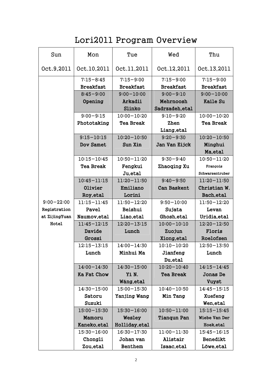# Lori2011 Program Overview

| Sun            | Mon              | Tue              | Wed                | Thu              |
|----------------|------------------|------------------|--------------------|------------------|
| Oct.9,2011     | Oct.10,2011      | Oct.11,2011      | Oct.12,2011        | Oct.13,2011      |
|                | $7:15 - 8:45$    | $7:15 - 9:00$    | $7:15 - 9:00$      | $7:15 - 9:00$    |
|                | <b>Breakfast</b> | <b>Breakfast</b> | <b>Breakfast</b>   | <b>Breakfast</b> |
|                | $8:45 - 9:00$    | $9:00 - 10:00$   | $9:00 - 9:10$      | $9:00 - 10:00$   |
|                | Opening          | Arkadii          | Mehrnoosh          | <b>Kaile Su</b>  |
|                |                  | Slinko           | Sadrzadeh, etal    |                  |
|                | $9:00 - 9:15$    | $10:00 - 10:20$  | $9:10 - 9:20$      | $10:00 - 10:20$  |
|                | Phototaking      | <b>Tea Break</b> | Zhen               | <b>Tea Break</b> |
|                |                  |                  | Liang, etal        |                  |
|                | $9:15 - 10:15$   | $10:20 - 10:50$  | $9:20 - 9:30$      | $10:20 - 10:50$  |
|                | <b>Dov Samet</b> | Sun Xin          | Jan Van Eijck      | Minghui          |
|                |                  |                  |                    | Ma, etal         |
|                | $10:15 - 10:45$  | $10:50 - 11:20$  | $9:30 - 9:40$      | $10:50 - 11:20$  |
|                | <b>Tea Break</b> | Fengkui          | Zhaoqing Xu        | François         |
|                |                  | Ju, etal         |                    | Schwarzentruber  |
|                | $10:45 - 11:15$  | $11:20 - 11:50$  | $9:40 - 9:50$      | $11:20 - 11:50$  |
|                | <b>Olivier</b>   | Emiliano         | <b>Can Baskent</b> | Christian W.     |
|                | Roy, etal        | Lorini           |                    | Bach, etal       |
| $9:00 - 22:00$ | 11:15-11:45      | $11:50 - 12:20$  | $9:50 - 10:00$     | $11:50 - 12:20$  |
| Registration   | Pavel            | Beishui          | Sujata             | Levan            |
| at ZijingYuan  | Naumov, etal     | Liao, etal       | Ghosh, etal        | Uridia, etal     |
| Hotel          | $11:45 - 12:15$  | $12:20 - 13:15$  | $10:00 - 10:10$    | $12:20 - 12:50$  |
|                | Davide           | Lunch            | Zuojun             | Floris           |
|                | Grossi           |                  | Xiong, etal        | Roelofsen        |
|                | $12:15 - 13:15$  | $14:00 - 14:30$  | $10:10 - 10:20$    | $12:50 - 13:50$  |
|                | Lunch            | Minhui Ma        | Jianfeng           | Lunch            |
|                |                  |                  | Du, et al          |                  |
|                | $14:00 - 14:30$  | $14:30 - 15:00$  | $10:20 - 10:40$    | $14:15 - 14:45$  |
|                | Ka Fat Chow      | Yì N.            | <b>Tea Break</b>   | Jonas De         |
|                |                  | Wáng, etal       |                    | Vuyst            |
|                | $14:30 - 15:00$  | 15:00-15:30      | $10:40 - 10:50$    | $14:45 - 15:15$  |
|                | Satoru           | Yanjing Wang     | Min Tang           | Xuefeng          |
|                | Suzuki           |                  |                    | Wen, et al       |
|                | $15:00 - 15:30$  | $15:30 - 16:00$  | $10:50 - 11:00$    | $15:15 - 15:45$  |
|                | Mamoru           | Wesley           | <b>Tianqun Pan</b> | Wiebe Van Der    |
|                | Kaneko, etal     | Holliday, etal   |                    | Hoek, etal       |
|                | $15:30 - 16:00$  | $16:30 - 17:30$  | $11:00 - 11:30$    | $15:45 - 16:15$  |
|                | Chongli          | Johan van        | Alistair           | <b>Benedikt</b>  |
|                | Zou, etal        | <b>Benthem</b>   | Isaac, etal        | Löwe, etal       |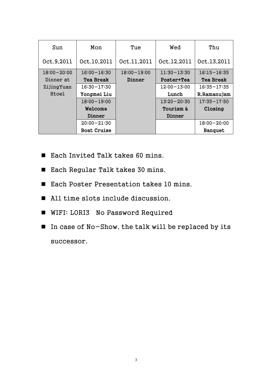| Sun             | Mon                | Tue             | Wed             | Thu              |
|-----------------|--------------------|-----------------|-----------------|------------------|
| Oct.9.2011      | Oct.10.2011        | Oct.11,2011     | Oct.12,2011     | Oct.13,2011      |
| $18:00 - 20:00$ | $16:00 - 16:30$    | $18:00 - 19:00$ | $11:30 - 13:30$ | $16:15 - 16:35$  |
| Dinner at       | <b>Tea Break</b>   | Dinner          | Poster+Tea      | <b>Tea Break</b> |
| ZijingYuan      | $16:30 - 17:30$    |                 | $12:00 - 13:00$ | $16:35 - 17:35$  |
| Htoel           | Yongmei Liu        |                 | Lunch           | R.Ramanujam      |
|                 | $18:00 - 19:00$    |                 | $13:20 - 20:30$ | $17:35 - 17:50$  |
|                 | Welcome            |                 | Tourism &       | Closing          |
|                 | Dinner             |                 | Dinner          |                  |
|                 | $20:00 - 21:30$    |                 |                 | $18:00 - 20:00$  |
|                 | <b>Boat Cruise</b> |                 |                 | <b>Banquet</b>   |

- Each Invited Talk takes 60 mins.
- Each Regular Talk takes 30 mins.
- Each Poster Presentation takes 10 mins.
- All time slots include discussion.
- **WIFI: LORI3 No Password Required**
- In case of No-Show, the talk will be replaced by its successor.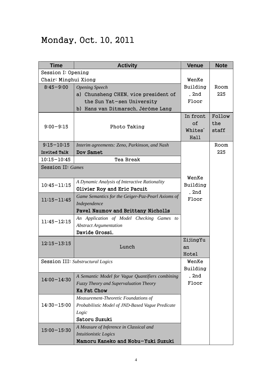## Monday, Oct. 10, 2011

| <b>Time</b>          | <b>Activity</b>                                   | <b>Venue</b>  | <b>Note</b> |
|----------------------|---------------------------------------------------|---------------|-------------|
| Session I: Opening   |                                                   |               |             |
| Chair: Minghui Xiong |                                                   | WenKe         |             |
| $8:45 - 9:00$        | <b>Opening Speech</b>                             | Building      | Room        |
|                      | a) Chunsheng CHEN, vice president of              | , 2nd         | 225         |
|                      | the Sun Yat-sen University                        | Floor         |             |
|                      | b) Hans van Ditmarsch, Jérôme Lang                |               |             |
|                      |                                                   | In front      | Follow      |
|                      |                                                   | <sub>of</sub> | the         |
| $9:00 - 9:15$        | Photo Taking                                      | Whites'       | staff       |
|                      |                                                   | Hall          |             |
| $9:15 - 10:15$       | Interim agreements: Zeno, Parkinson, and Nash     |               | Room        |
| <b>Invited Talk</b>  | <b>Dov Samet</b>                                  |               | 225         |
| $10:15 - 10:45$      | Tea Break                                         |               |             |
| Session II: Games    |                                                   |               |             |
|                      |                                                   | WenKe         |             |
| $10:45 - 11:15$      | A Dynamic Analysis of Interactive Rationality     | Building      |             |
|                      | Olivier Roy and Eric Pacuit                       | , 2nd         |             |
| $11:15 - 11:45$      | Game Semantics for the Geiger-Paz-Pearl Axioms of | Floor         |             |
|                      | Independence                                      |               |             |
|                      | Pavel Naumov and Brittany Nicholls                |               |             |
| $11:45 - 12:15$      | An Application of Model Checking Games to         |               |             |
|                      | <b>Abstract Argumentation</b>                     |               |             |
|                      | Davide Grossi.                                    |               |             |
| $12:15 - 13:15$      |                                                   | ZijingYu      |             |
|                      | Lunch                                             | an            |             |
|                      |                                                   | Hotel         |             |
|                      | Session III: Substructural Logics                 | WenKe         |             |
|                      |                                                   | Building      |             |
| $14:00 - 14:30$      | A Semantic Model for Vague Quantifiers combining  | , 2nd         |             |
|                      | <b>Fuzzy Theory and Supervaluation Theory</b>     | Floor         |             |
|                      | Ka Fat Chow                                       |               |             |
|                      | Measurement-Theoretic Foundations of              |               |             |
| $14:30 - 15:00$      | Probabilistic Model of JND-Based Vague Predicate  |               |             |
|                      | Logic                                             |               |             |
|                      | Satoru Suzuki                                     |               |             |
| $15:00 - 15:30$      | A Measure of Inference in Classical and           |               |             |
|                      | Intuitionistic Logics                             |               |             |
|                      | Mamoru Kaneko and Nobu-Yuki Suzuki                |               |             |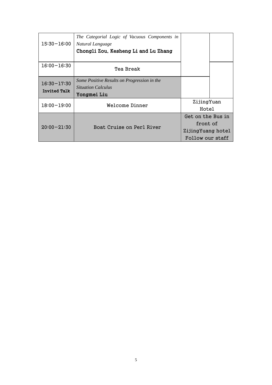| $15:30 - 16:00$                        | The Categorial Logic of Vacuous Components in<br>Natural Language<br>Chongli Zou, Kesheng Li and Lu Zhang |                                                                        |  |
|----------------------------------------|-----------------------------------------------------------------------------------------------------------|------------------------------------------------------------------------|--|
| $16:00 - 16:30$                        | Tea Break                                                                                                 |                                                                        |  |
| $16:30 - 17:30$<br><b>Invited Talk</b> | Some Positive Results on Progression in the<br><i>Situation Calculus</i><br>Yongmei Liu                   |                                                                        |  |
| $18:00 - 19:00$                        | Welcome Dinner                                                                                            | ZijingYuan<br>Hotel                                                    |  |
| $20:00 - 21:30$                        | Boat Cruise on Perl River                                                                                 | Get on the Bus in<br>front of<br>ZijingYuang hotel<br>Follow our staff |  |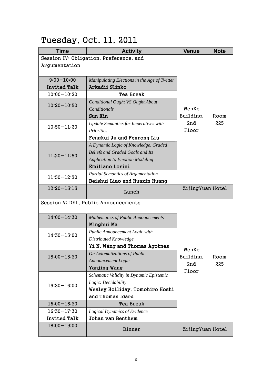# Tuesday, Oct. 11, 2011

| <b>Time</b>         | <b>Activity</b>                              | <b>Venue</b>     | <b>Note</b> |
|---------------------|----------------------------------------------|------------------|-------------|
|                     | Session IV: Obligation, Preference, and      |                  |             |
| Argumentation       |                                              |                  |             |
|                     |                                              |                  |             |
| $9:00 - 10:00$      | Manipulating Elections in the Age of Twitter |                  |             |
| <b>Invited Talk</b> | Arkadii Slinko                               |                  |             |
| $10:00 - 10:20$     | Tea Break                                    |                  |             |
| $10:20 - 10:50$     | Conditional Ought VS Ought About             |                  |             |
|                     | Conditionals                                 | WenKe            |             |
|                     | Sun Xin                                      | Building,        | Room        |
| $10:50 - 11:20$     | <b>Update Semantics for Imperatives with</b> | 2nd              | 225         |
|                     | <b>Priorities</b>                            | Floor            |             |
|                     | Fengkui Ju and Fenrong Liu                   |                  |             |
|                     | A Dynamic Logic of Knowledge, Graded         |                  |             |
| $11:20 - 11:50$     | <b>Beliefs and Graded Goals and Its</b>      |                  |             |
|                     | <b>Application to Emotion Modeling</b>       |                  |             |
|                     | <b>Emiliano Lorini</b>                       |                  |             |
| $11:50 - 12:20$     | <b>Partial Semantics of Argumentation</b>    |                  |             |
|                     | Beishui Liao and Huaxin Huang                |                  |             |
| $12:20 - 13:15$     | Lunch                                        | ZijingYuan Hotel |             |
|                     | Session V: DEL, Public Announcements         |                  |             |
| $14:00 - 14:30$     | <b>Mathematics of Public Announcements</b>   |                  |             |
|                     | Minghui Ma                                   |                  |             |
|                     | Public Announcement Logic with               |                  |             |
| $14:30 - 15:00$     | Distributed Knowledge                        |                  |             |
|                     | Yì N. Wáng and Thomas Ågotnes                |                  |             |
|                     | On Axiomatizations of Public                 | WenKe            |             |
| $15:00 - 15:30$     | Announcement Logic                           | Building,        | Room<br>225 |
|                     | Yanjing Wang                                 | 2nd              |             |
|                     | Schematic Validity in Dynamic Epistemic      | Floor            |             |
|                     | Logic: Decidability                          |                  |             |
| $15:30 - 16:00$     | Wesley Holliday, Tomohiro Hoshi              |                  |             |
|                     | and Thomas Icard                             |                  |             |
| $16:00 - 16:30$     | Tea Break                                    |                  |             |
| $16:30 - 17:30$     | <b>Logical Dynamics of Evidence</b>          |                  |             |
| <b>Invited Talk</b> | Johan van Benthem                            |                  |             |
| $18:00 - 19:00$     | Dinner                                       | ZijingYuan Hotel |             |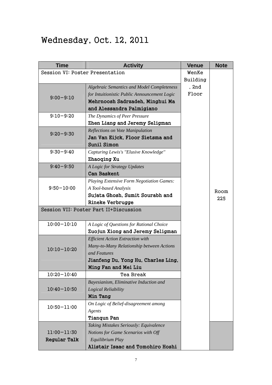## Wednesday, Oct. 12, 2011

| <b>Time</b>                     | <b>Activity</b>                              | <b>Venue</b> | <b>Note</b> |
|---------------------------------|----------------------------------------------|--------------|-------------|
| Session VI: Poster Presentation |                                              | WenKe        |             |
|                                 |                                              | Building     |             |
|                                 | Algebraic Semantics and Model Completeness   | , 2nd        |             |
| $9:00 - 9:10$                   | for Intuitionistic Public Announcement Logic | Floor        |             |
|                                 | Mehrnoosh Sadrzadeh, Minghui Ma              |              |             |
|                                 | and Alessandra Palmigiano                    |              |             |
| $9:10 - 9:20$                   | The Dynamics of Peer Pressure                |              |             |
|                                 | Zhen Liang and Jeremy Seligman               |              |             |
| $9:20 - 9:30$                   | Reflections on Vote Manipulation             |              |             |
|                                 | Jan Van Eijck, Floor Sietsma and             |              |             |
|                                 | <b>Sunil Simon</b>                           |              |             |
| $9:30 - 9:40$                   | Capturing Lewis's "Elusive Knowledge"        |              |             |
|                                 | Zhaoqing Xu                                  |              |             |
| $9:40 - 9:50$                   | A Logic for Strategy Updates                 |              |             |
|                                 | <b>Can Baskent</b>                           |              |             |
|                                 | Playing Extensive Form Negotiation Games:    |              |             |
| $9:50 - 10:00$                  | A Tool-based Analysis                        |              | Room        |
|                                 | Sujata Ghosh, Sumit Sourabh and              |              | 225         |
|                                 | <b>Rineke Verbrugge</b>                      |              |             |
|                                 | Session VII: Poster Part II+Discussion       |              |             |
|                                 |                                              |              |             |
| $10:00 - 10:10$                 | A Logic of Questions for Rational Choice     |              |             |
|                                 | Zuojun Xiong and Jeremy Seligman             |              |             |
|                                 | <b>Efficient Action Extraction with</b>      |              |             |
| $10:10 - 10:20$                 | Many-to-Many Relationship between Actions    |              |             |
|                                 | and Features                                 |              |             |
|                                 | Jianfeng Du, Yong Hu, Charles Ling,          |              |             |
|                                 | Ming Fan and Mei Liu                         |              |             |
| $10:20 - 10:40$                 | Tea Break                                    |              |             |
|                                 | Bayesianism, Eliminative Induction and       |              |             |
| $10:40 - 10:50$                 | Logical Reliability                          |              |             |
|                                 | Min Tang                                     |              |             |
| $10:50 - 11:00$                 | On Logic of Belief-disagreement among        |              |             |
|                                 | Agents                                       |              |             |
|                                 | <b>Tiangun Pan</b>                           |              |             |
|                                 | Taking Mistakes Seriously: Equivalence       |              |             |
| $11:00 - 11:30$                 | Notions for Game Scenarios with Off          |              |             |
| <b>Regular Talk</b>             | Equilibrium Play                             |              |             |
|                                 | Alistair Isaac and Tomohiro Hoshi            |              |             |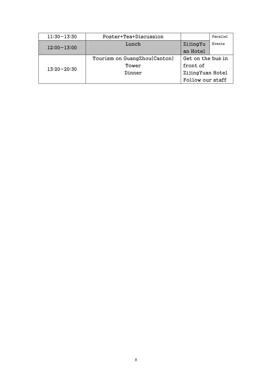| $11:30 - 13:30$ | Poster+Tea+Discussion        |                   | Parallel |
|-----------------|------------------------------|-------------------|----------|
| $12:00 - 13:00$ | Lunch                        | ZijingYu          | Events   |
|                 |                              | an Hotel          |          |
| $13:20 - 20:30$ | Tourism on GuangZhou(Canton) | Get on the bus in |          |
|                 | Tower                        | front of          |          |
|                 | Dinner                       | ZijingYuan Hotel  |          |
|                 |                              | Follow our staff  |          |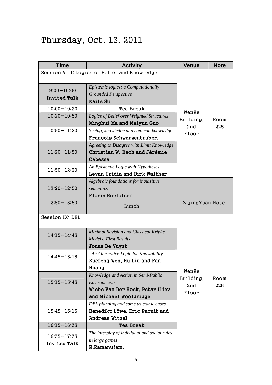## Thursday, Oct. 13, 2011

| <b>Time</b>                            | <b>Activity</b>                                                                                                         | <b>Venue</b>                       | <b>Note</b> |
|----------------------------------------|-------------------------------------------------------------------------------------------------------------------------|------------------------------------|-------------|
|                                        | Session VIII: Logics of Belief and Knowledge                                                                            |                                    |             |
| $9:00 - 10:00$<br><b>Invited Talk</b>  | Epistemic logics: a Computationally<br><b>Grounded Perspective</b><br>Kaile Su                                          |                                    | Room<br>225 |
| $10:00 - 10:20$                        | Tea Break                                                                                                               |                                    |             |
| $10:20 - 10:50$                        | Logics of Belief over Weighted Structures<br>Minghui Ma and Meiyun Guo                                                  | WenKe<br>Building,                 |             |
| $10:50 - 11:20$                        | Seeing, knowledge and common knowledge<br>François Schwarzentruber.                                                     | 2nd<br>Floor                       |             |
| $11:20 - 11:50$                        | Agreeing to Disagree with Limit Knowledge<br>Christian W. Bach and Jérémie<br>Cabessa                                   |                                    |             |
| $11:50 - 12:20$                        | An Epistemic Logic with Hypotheses<br>Levan Uridia and Dirk Walther                                                     |                                    |             |
| $12:20 - 12:50$                        | Algebraic foundations for inquisitive<br>semantics<br><b>Floris Roelofsen</b>                                           |                                    |             |
| $12:50 - 13:50$                        | Lunch                                                                                                                   | ZijingYuan Hotel                   |             |
| Session IX: DEL                        |                                                                                                                         |                                    |             |
| $14:15 - 14:45$                        | Minimal Revision and Classical Kripke<br>Models: First Results<br>Jonas De Vuyst                                        |                                    |             |
| $14:45 - 15:15$                        | An Alternative Logic for Knowability<br>Xuefeng Wen, Hu Liu and Fan<br>Huang                                            |                                    |             |
| $15:15 - 15:45$                        | Knowledge and Action in Semi-Public<br><b>Environments</b><br>Wiebe Van Der Hoek, Petar Iliev<br>and Michael Wooldridge | WenKe<br>Building,<br>2nd<br>Floor | Room<br>225 |
| $15:45 - 16:15$                        | DEL planning and some tractable cases<br>Benedikt Löwe, Eric Pacuit and<br><b>Andreas Witzel</b>                        |                                    |             |
| $16:15 - 16:35$                        | Tea Break                                                                                                               |                                    |             |
| $16:35 - 17:35$<br><b>Invited Talk</b> | The interplay of individual and social rules<br>in large games<br>R.Ramanujam.                                          |                                    |             |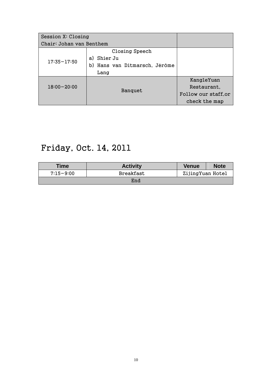| Session X: Closing       |                                                                      |                      |
|--------------------------|----------------------------------------------------------------------|----------------------|
| Chair: Johan van Benthem |                                                                      |                      |
| $17:35 - 17:50$          | Closing Speech<br>Shier Ju<br>a)<br>Hans van Ditmarsch, Jérôme<br>b) |                      |
|                          | Lang                                                                 |                      |
|                          |                                                                      | KangleYuan           |
| $18:00 - 20:00$          | Banquet                                                              | Restaurant,          |
|                          |                                                                      | Follow our staff, or |
|                          |                                                                      | check the map        |

## Friday, Oct. 14, 2011

| <b>Time</b>   | <b>Activity</b> | <b>Venue</b>     | <b>Note</b> |
|---------------|-----------------|------------------|-------------|
| $7:15 - 9:00$ | Breakfast       | ZijingYuan Hotel |             |
|               | End             |                  |             |